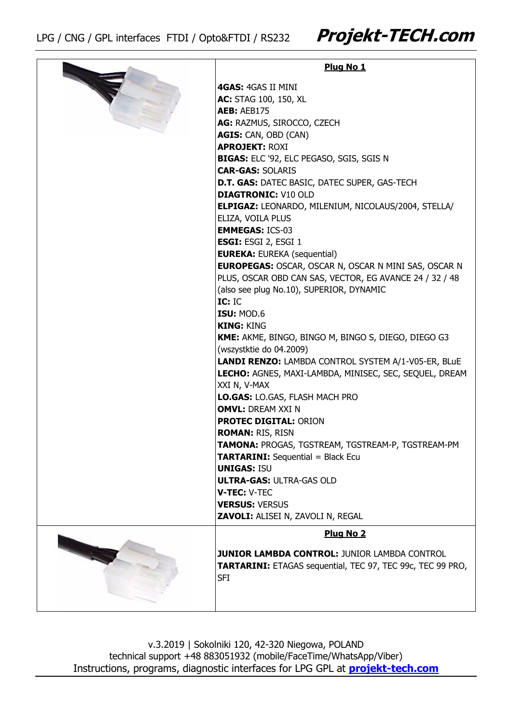|  | Plug No 1                                                  |
|--|------------------------------------------------------------|
|  | 4GAS: 4GAS II MINI                                         |
|  | AC: STAG 100, 150, XL                                      |
|  | <b>AEB: AEB175</b>                                         |
|  | AG: RAZMUS, SIROCCO, CZECH                                 |
|  | AGIS: CAN, OBD (CAN)                                       |
|  | <b>APROJEKT: ROXI</b>                                      |
|  | BIGAS: ELC '92, ELC PEGASO, SGIS, SGIS N                   |
|  | <b>CAR-GAS: SOLARIS</b>                                    |
|  | D.T. GAS: DATEC BASIC, DATEC SUPER, GAS-TECH               |
|  | <b>DIAGTRONIC: V10 OLD</b>                                 |
|  | <b>ELPIGAZ: LEONARDO, MILENIUM, NICOLAUS/2004, STELLA/</b> |
|  | ELIZA, VOILA PLUS                                          |
|  | <b>EMMEGAS: ICS-03</b>                                     |
|  | <b>ESGI: ESGI 2, ESGI 1</b>                                |
|  | <b>EUREKA: EUREKA (sequential)</b>                         |
|  | EUROPEGAS: OSCAR, OSCAR N, OSCAR N MINI SAS, OSCAR N       |
|  | PLUS, OSCAR OBD CAN SAS, VECTOR, EG AVANCE 24 / 32 / 48    |
|  | (also see plug No.10), SUPERIOR, DYNAMIC                   |
|  | IC: IC                                                     |
|  | ISU: MOD.6                                                 |
|  | <b>KING: KING</b>                                          |
|  | KME: AKME, BINGO, BINGO M, BINGO S, DIEGO, DIEGO G3        |
|  | (wszystktie do 04.2009)                                    |
|  | LANDI RENZO: LAMBDA CONTROL SYSTEM A/1-V05-ER, BLuE        |
|  | LECHO: AGNES, MAXI-LAMBDA, MINISEC, SEC, SEQUEL, DREAM     |
|  | XXI N, V-MAX                                               |
|  | LO.GAS: LO.GAS, FLASH MACH PRO                             |
|  | <b>OMVL: DREAM XXI N</b>                                   |
|  | <b>PROTEC DIGITAL: ORION</b>                               |
|  | <b>ROMAN: RIS, RISN</b>                                    |
|  | TAMONA: PROGAS, TGSTREAM, TGSTREAM-P, TGSTREAM-PM          |
|  | <b>TARTARINI:</b> Sequential = Black Ecu                   |
|  | <b>UNIGAS: ISU</b><br><b>ULTRA-GAS: ULTRA-GAS OLD</b>      |
|  | V-TEC: V-TEC                                               |
|  | <b>VERSUS: VERSUS</b>                                      |
|  | ZAVOLI: ALISEI N, ZAVOLI N, REGAL                          |
|  |                                                            |
|  | Plug No 2                                                  |
|  | <b>JUNIOR LAMBDA CONTROL: JUNIOR LAMBDA CONTROL</b>        |
|  | TARTARINI: ETAGAS sequential, TEC 97, TEC 99c, TEC 99 PRO, |
|  | SFI                                                        |
|  |                                                            |
|  |                                                            |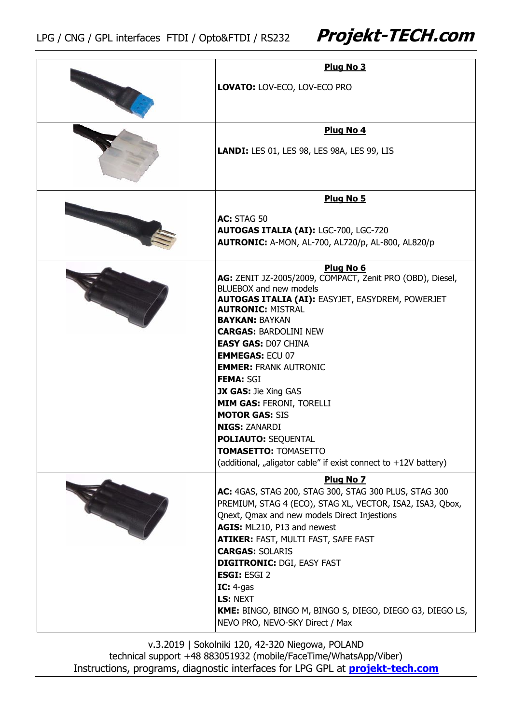| Plug No 3                                                                                  |
|--------------------------------------------------------------------------------------------|
| LOVATO: LOV-ECO, LOV-ECO PRO                                                               |
| Plug No 4                                                                                  |
| LANDI: LES 01, LES 98, LES 98A, LES 99, LIS                                                |
| Plug No 5                                                                                  |
| <b>AC: STAG 50</b>                                                                         |
| <b>AUTOGAS ITALIA (AI): LGC-700, LGC-720</b>                                               |
| <b>AUTRONIC: A-MON, AL-700, AL720/p, AL-800, AL820/p</b>                                   |
|                                                                                            |
| Plug No 6                                                                                  |
| AG: ZENIT JZ-2005/2009, COMPACT, Zenit PRO (OBD), Diesel,<br><b>BLUEBOX and new models</b> |
| <b>AUTOGAS ITALIA (AI): EASYJET, EASYDREM, POWERJET</b>                                    |
| <b>AUTRONIC: MISTRAL</b>                                                                   |
| <b>BAYKAN: BAYKAN</b>                                                                      |
| <b>CARGAS: BARDOLINI NEW</b>                                                               |
| <b>EASY GAS: D07 CHINA</b>                                                                 |
| <b>EMMEGAS: ECU 07</b>                                                                     |
| <b>EMMER: FRANK AUTRONIC</b>                                                               |
| <b>FEMA: SGI</b><br>JX GAS: Jie Xing GAS                                                   |
| <b>MIM GAS: FERONI, TORELLI</b>                                                            |
| <b>MOTOR GAS: SIS</b>                                                                      |
| <b>NIGS: ZANARDI</b>                                                                       |
| <b>POLIAUTO: SEQUENTAL</b>                                                                 |
| <b>TOMASETTO: TOMASETTO</b>                                                                |
| (additional, "aligator cable" if exist connect to +12V battery)                            |
| Plug No 7                                                                                  |
| AC: 4GAS, STAG 200, STAG 300, STAG 300 PLUS, STAG 300                                      |
| PREMIUM, STAG 4 (ECO), STAG XL, VECTOR, ISA2, ISA3, Qbox,                                  |
| Qnext, Qmax and new models Direct Injestions                                               |
| AGIS: ML210, P13 and newest                                                                |
| <b>ATIKER: FAST, MULTI FAST, SAFE FAST</b>                                                 |
| <b>CARGAS: SOLARIS</b><br><b>DIGITRONIC: DGI, EASY FAST</b>                                |
| <b>ESGI: ESGI 2</b>                                                                        |
| IC: $4-gas$                                                                                |
| LS: NEXT                                                                                   |
| KME: BINGO, BINGO M, BINGO S, DIEGO, DIEGO G3, DIEGO LS,                                   |
| NEVO PRO, NEVO-SKY Direct / Max                                                            |
|                                                                                            |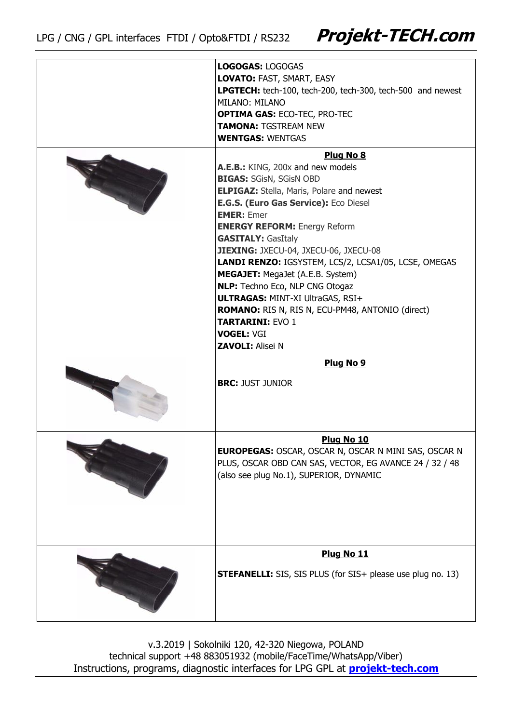| <b>LOGOGAS: LOGOGAS</b>                                            |
|--------------------------------------------------------------------|
| LOVATO: FAST, SMART, EASY                                          |
| LPGTECH: tech-100, tech-200, tech-300, tech-500 and newest         |
| MILANO: MILANO                                                     |
| <b>OPTIMA GAS: ECO-TEC, PRO-TEC</b>                                |
| <b>TAMONA: TGSTREAM NEW</b>                                        |
| <b>WENTGAS: WENTGAS</b>                                            |
|                                                                    |
| Plug No 8                                                          |
| A.E.B.: KING, 200x and new models                                  |
| <b>BIGAS: SGisN, SGisN OBD</b>                                     |
| <b>ELPIGAZ:</b> Stella, Maris, Polare and newest                   |
| E.G.S. (Euro Gas Service): Eco Diesel                              |
| <b>EMER: Emer</b>                                                  |
| <b>ENERGY REFORM: Energy Reform</b>                                |
| <b>GASITALY: GasItaly</b>                                          |
| JIEXING: JXECU-04, JXECU-06, JXECU-08                              |
| LANDI RENZO: IGSYSTEM, LCS/2, LCSA1/05, LCSE, OMEGAS               |
| MEGAJET: MegaJet (A.E.B. System)                                   |
| NLP: Techno Eco, NLP CNG Otogaz                                    |
| <b>ULTRAGAS: MINT-XI UltraGAS, RSI+</b>                            |
|                                                                    |
| <b>ROMANO:</b> RIS N, RIS N, ECU-PM48, ANTONIO (direct)            |
| <b>TARTARINI: EVO 1</b>                                            |
| <b>VOGEL: VGI</b>                                                  |
| <b>ZAVOLI: Alisei N</b>                                            |
| Plug No 9                                                          |
|                                                                    |
| <b>BRC: JUST JUNIOR</b>                                            |
|                                                                    |
|                                                                    |
|                                                                    |
|                                                                    |
| Plug No 10                                                         |
| <b>EUROPEGAS: OSCAR, OSCAR N, OSCAR N MINI SAS, OSCAR N</b>        |
| PLUS, OSCAR OBD CAN SAS, VECTOR, EG AVANCE 24 / 32 / 48            |
| (also see plug No.1), SUPERIOR, DYNAMIC                            |
|                                                                    |
|                                                                    |
|                                                                    |
|                                                                    |
|                                                                    |
| Plug No 11                                                         |
|                                                                    |
| <b>STEFANELLI:</b> SIS, SIS PLUS (for SIS+ please use plug no. 13) |
|                                                                    |
|                                                                    |
|                                                                    |
|                                                                    |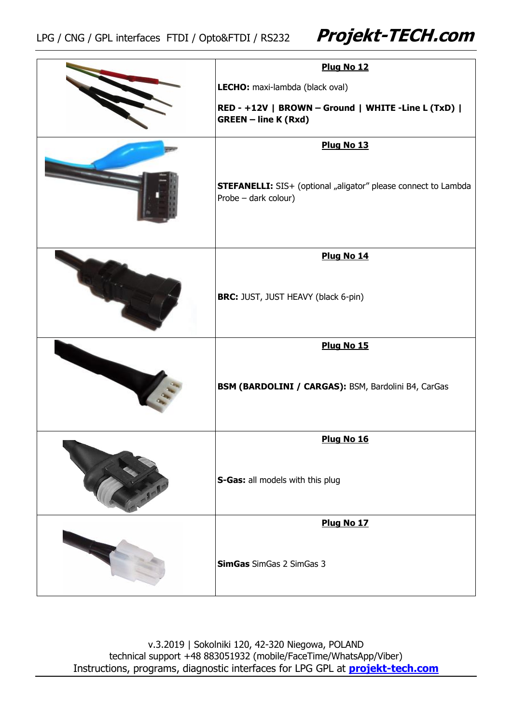| Plug No 12                                                                                    |
|-----------------------------------------------------------------------------------------------|
| LECHO: maxi-lambda (black oval)                                                               |
| RED - +12V   BROWN - Ground   WHITE -Line L (TxD)  <br><b>GREEN - line K (Rxd)</b>            |
| Plug No 13                                                                                    |
| <b>STEFANELLI:</b> SIS+ (optional "aligator" please connect to Lambda<br>Probe - dark colour) |
| Plug No 14                                                                                    |
| BRC: JUST, JUST HEAVY (black 6-pin)                                                           |
| Plug No 15                                                                                    |
| BSM (BARDOLINI / CARGAS): BSM, Bardolini B4, CarGas                                           |
| Plug No 16                                                                                    |
| S-Gas: all models with this plug                                                              |
| Plug No 17                                                                                    |
| <b>SimGas</b> SimGas 2 SimGas 3                                                               |